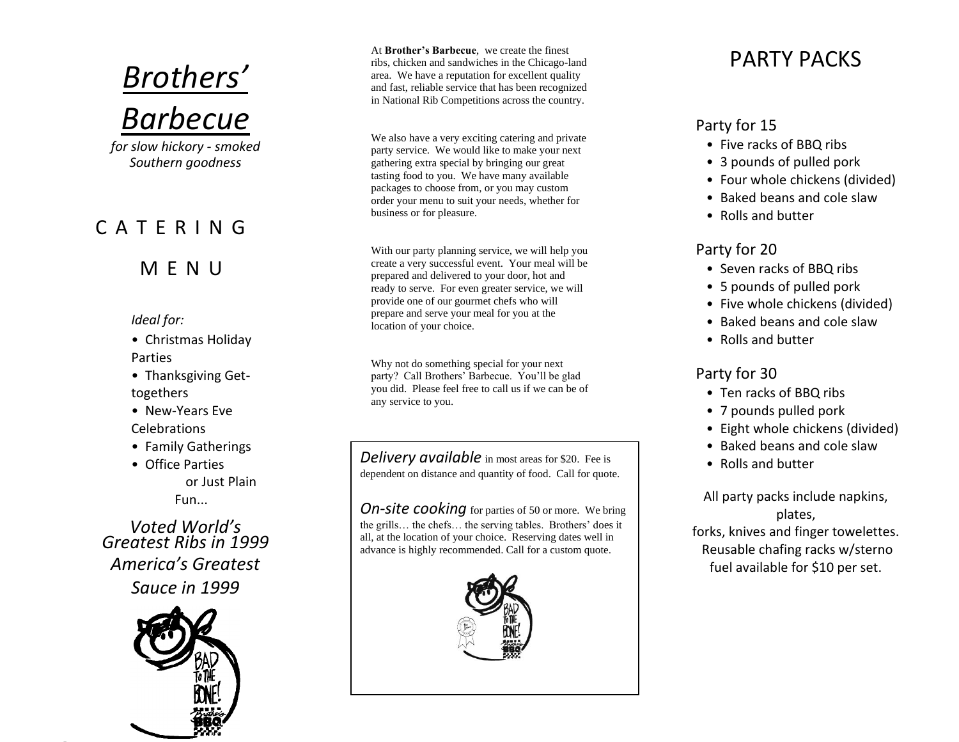

*for slow hickory - smoked Southern goodness*

# C A T E R I N G

# M E N U

#### *Ideal for:*

- Christmas Holiday Parties
- Thanksgiving Gettogethers
- New-Years Eve Celebrations
- Family Gatherings
- Office Parties

or Just Plain Fun...

*Voted World's Greatest Ribs in 1999 America's Greatest Sauce in 1999*



At **Brother's Barbecue**, we create the finest ribs, chicken and sandwiches in the Chicago-land area. We have a reputation for excellent quality and fast, reliable service that has been recognized in National Rib Competitions across the country.

We also have a very exciting catering and private party service. We would like to make your next gathering extra special by bringing our great tasting food to you. We have many available packages to choose from, or you may custom order your menu to suit your needs, whether for business or for pleasure.

With our party planning service, we will help you create a very successful event. Your meal will be prepared and delivered to your door, hot and ready to serve. For even greater service, we will provide one of our gourmet chefs who will prepare and serve your meal for you at the location of your choice.

Why not do something special for your next party? Call Brothers' Barbecue. You'll be glad you did. Please feel free to call us if we can be of any service to you.

*Delivery available* in most areas for \$20. Fee is dependent on distance and quantity of food. Call for quote.

*On-site cooking* for parties of 50 or more. We bring the grills… the chefs… the serving tables. Brothers' does it all, at the location of your choice. Reserving dates well in advance is highly recommended. Call for a custom quote.



# PARTY PACKS

#### Party for 15

- Five racks of BBQ ribs
- 3 pounds of pulled pork
- Four whole chickens (divided)
- Baked beans and cole slaw
- Rolls and butter

### Party for 20

- Seven racks of BBQ ribs
- 5 pounds of pulled pork
- Five whole chickens (divided)
- Baked beans and cole slaw
- Rolls and butter

### Party for 30

- Ten racks of BBQ ribs
- 7 pounds pulled pork
- Eight whole chickens (divided)
- Baked beans and cole slaw
- Rolls and butter

All party packs include napkins, plates,

forks, knives and finger towelettes. Reusable chafing racks w/sterno fuel available for \$10 per set.